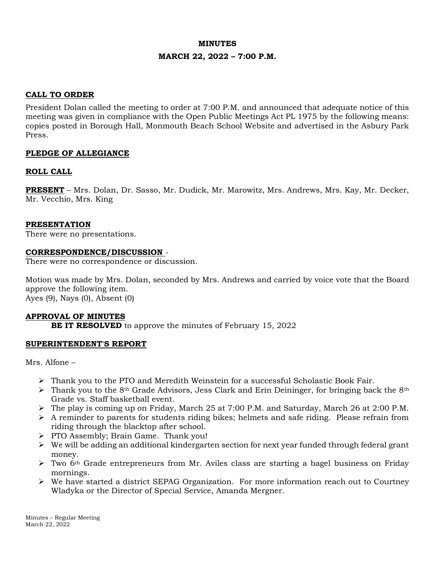#### **MINUTES**

#### **MARCH 22, 2022 – 7:00 P.M.**

## **CALL TO ORDER**

President Dolan called the meeting to order at 7:00 P.M. and announced that adequate notice of this meeting was given in compliance with the Open Public Meetings Act PL 1975 by the following means: copies posted in Borough Hall, Monmouth Beach School Website and advertised in the Asbury Park Press.

## **PLEDGE OF ALLEGIANCE**

## **ROLL CALL**

**PRESENT** – Mrs. Dolan, Dr. Sasso, Mr. Dudick, Mr. Marowitz, Mrs. Andrews, Mrs. Kay, Mr. Decker, Mr. Vecchio, Mrs. King

### **PRESENTATION**

There were no presentations.

### **CORRESPONDENCE/DISCUSSION** -

There were no correspondence or discussion.

Motion was made by Mrs. Dolan, seconded by Mrs. Andrews and carried by voice vote that the Board approve the following item. Ayes (9), Nays (0), Absent (0)

### **APPROVAL OF MINUTES**

**BE IT RESOLVED** to approve the minutes of February 15, 2022

### **SUPERINTENDENT'S REPORT**

Mrs. Alfone –

- ➢ Thank you to the PTO and Meredith Weinstein for a successful Scholastic Book Fair.
- $\triangleright$  Thank you to the 8<sup>th</sup> Grade Advisors, Jess Clark and Erin Deininger, for bringing back the 8<sup>th</sup> Grade vs. Staff basketball event.
- $\triangleright$  The play is coming up on Friday, March 25 at 7:00 P.M. and Saturday, March 26 at 2:00 P.M.
- $\triangleright$  A reminder to parents for students riding bikes; helmets and safe riding. Please refrain from riding through the blacktop after school.
- ➢ PTO Assembly; Brain Game. Thank you!
- ➢ We will be adding an additional kindergarten section for next year funded through federal grant money.
- ➢ Two 6th Grade entrepreneurs from Mr. Aviles class are starting a bagel business on Friday mornings.
- ➢ We have started a district SEPAG Organization. For more information reach out to Courtney Wladyka or the Director of Special Service, Amanda Mergner.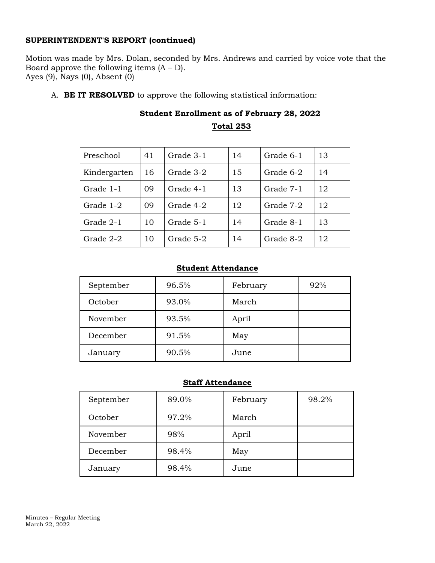## **SUPERINTENDENT'S REPORT (continued)**

Motion was made by Mrs. Dolan, seconded by Mrs. Andrews and carried by voice vote that the Board approve the following items  $(A - D)$ . Ayes  $(9)$ , Nays  $(0)$ , Absent  $(0)$ 

A. **BE IT RESOLVED** to approve the following statistical information:

|  |                                 | <b>Total 253</b> | . .                          |  |
|--|---------------------------------|------------------|------------------------------|--|
|  | $\bigcap_{n=1}$ $\bigcap_{n=1}$ |                  | $C_{\text{mod }n} \subset 1$ |  |

**Student Enrollment as of February 28, 2022**

| Preschool<br>41    |                       | Grade 3-1<br>14 |           | Grade 6-1 | 13 |
|--------------------|-----------------------|-----------------|-----------|-----------|----|
| Kindergarten<br>16 |                       | Grade 3-2       | 15        | Grade 6-2 |    |
| Grade 1-1          | Grade 4-1<br>13<br>09 |                 | Grade 7-1 | 12        |    |
| Grade 1-2          | 09                    | Grade 4-2       | 12        | Grade 7-2 | 12 |
| Grade 2-1          | 10                    | Grade 5-1       | 14        | Grade 8-1 | 13 |
| Grade 2-2<br>10    |                       | Grade 5-2       | 14        | Grade 8-2 | 12 |

# **Student Attendance**

| September        | 96.5% | February | 92% |
|------------------|-------|----------|-----|
| October          | 93.0% | March    |     |
| November         | 93.5% | April    |     |
| December         | 91.5% | May      |     |
| 90.5%<br>January |       | June     |     |

# **Staff Attendance**

| September                 | 89.0% | February | 98.2% |
|---------------------------|-------|----------|-------|
| October<br>97.2%<br>March |       |          |       |
| November                  | 98%   | April    |       |
| December                  | 98.4% | May      |       |
| January                   | 98.4% | June     |       |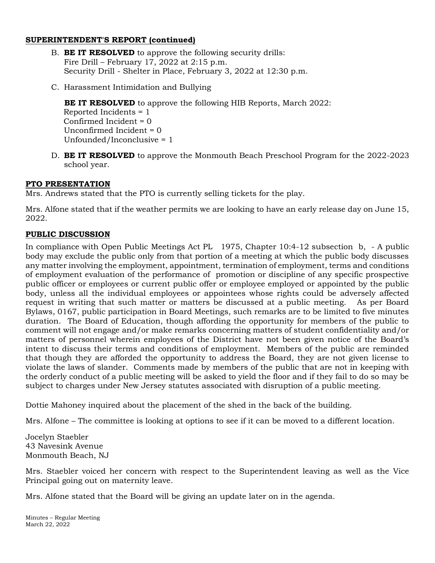## **SUPERINTENDENT'S REPORT (continued)**

- B. **BE IT RESOLVED** to approve the following security drills: Fire Drill – February 17, 2022 at 2:15 p.m. Security Drill - Shelter in Place, February 3, 2022 at 12:30 p.m.
- C. Harassment Intimidation and Bullying

**BE IT RESOLVED** to approve the following HIB Reports, March 2022: Reported Incidents = 1 Confirmed Incident = 0 Unconfirmed Incident = 0 Unfounded/Inconclusive = 1

D. **BE IT RESOLVED** to approve the Monmouth Beach Preschool Program for the 2022-2023 school year.

# **PTO PRESENTATION**

Mrs. Andrews stated that the PTO is currently selling tickets for the play.

Mrs. Alfone stated that if the weather permits we are looking to have an early release day on June 15, 2022.

# **PUBLIC DISCUSSION**

In compliance with Open Public Meetings Act PL 1975, Chapter 10:4-12 subsection b, - A public body may exclude the public only from that portion of a meeting at which the public body discusses any matter involving the employment, appointment, termination of employment, terms and conditions of employment evaluation of the performance of promotion or discipline of any specific prospective public officer or employees or current public offer or employee employed or appointed by the public body, unless all the individual employees or appointees whose rights could be adversely affected request in writing that such matter or matters be discussed at a public meeting. As per Board Bylaws, 0167, public participation in Board Meetings, such remarks are to be limited to five minutes duration. The Board of Education, though affording the opportunity for members of the public to comment will not engage and/or make remarks concerning matters of student confidentiality and/or matters of personnel wherein employees of the District have not been given notice of the Board's intent to discuss their terms and conditions of employment. Members of the public are reminded that though they are afforded the opportunity to address the Board, they are not given license to violate the laws of slander. Comments made by members of the public that are not in keeping with the orderly conduct of a public meeting will be asked to yield the floor and if they fail to do so may be subject to charges under New Jersey statutes associated with disruption of a public meeting.

Dottie Mahoney inquired about the placement of the shed in the back of the building.

Mrs. Alfone – The committee is looking at options to see if it can be moved to a different location.

Jocelyn Staebler 43 Navesink Avenue Monmouth Beach, NJ

Mrs. Staebler voiced her concern with respect to the Superintendent leaving as well as the Vice Principal going out on maternity leave.

Mrs. Alfone stated that the Board will be giving an update later on in the agenda.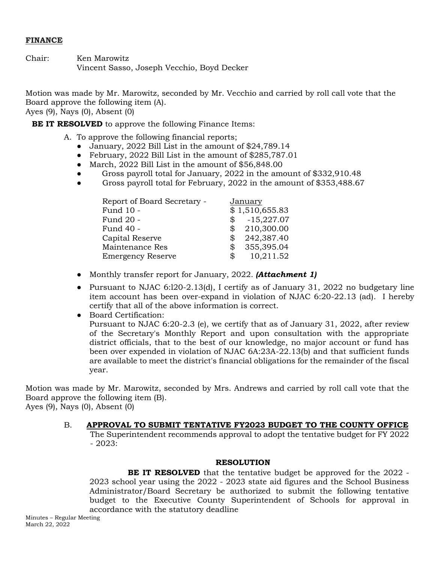### **FINANCE**

Chair: Ken Marowitz Vincent Sasso, Joseph Vecchio, Boyd Decker

Motion was made by Mr. Marowitz, seconded by Mr. Vecchio and carried by roll call vote that the Board approve the following item (A). Ayes (9), Nays (0), Absent (0)

**BE IT RESOLVED** to approve the following Finance Items:

- A. To approve the following financial reports;
	- January, 2022 Bill List in the amount of \$24,789.14
	- February, 2022 Bill List in the amount of \$285,787.01
	- March, 2022 Bill List in the amount of \$56,848.00
	- Gross payroll total for January, 2022 in the amount of \$332,910.48
	- Gross payroll total for February, 2022 in the amount of \$353,488.67

| Report of Board Secretary - | January                      |
|-----------------------------|------------------------------|
| Fund 10 -                   | \$1,510,655.83               |
| Fund 20 -                   | $-15,227.07$                 |
| Fund 40 -                   | 210,300.00<br>$\mathbb{S}^-$ |
| Capital Reserve             | 242,387.40<br>\$             |
| Maintenance Res             | 355,395.04<br>\$             |
| <b>Emergency Reserve</b>    | 10,211.52                    |

- Monthly transfer report for January, 2022. *(Attachment 1)*
- Pursuant to NJAC 6:120-2.13(d), I certify as of January 31, 2022 no budgetary line item account has been over-expand in violation of NJAC 6:20-22.13 (ad). I hereby certify that all of the above information is correct.
- Board Certification: Pursuant to NJAC 6:20-2.3 (e), we certify that as of January 31, 2022, after review of the Secretary's Monthly Report and upon consultation with the appropriate district officials, that to the best of our knowledge, no major account or fund has been over expended in violation of NJAC 6A:23A-22.13(b) and that sufficient funds are available to meet the district's financial obligations for the remainder of the fiscal year.

Motion was made by Mr. Marowitz, seconded by Mrs. Andrews and carried by roll call vote that the Board approve the following item (B). Ayes (9), Nays (0), Absent (0)

> B. **APPROVAL TO SUBMIT TENTATIVE FY2023 BUDGET TO THE COUNTY OFFICE** The Superintendent recommends approval to adopt the tentative budget for FY 2022  $-2023$ :

### **RESOLUTION**

**BE IT RESOLVED** that the tentative budget be approved for the 2022 - 2023 school year using the 2022 - 2023 state aid figures and the School Business Administrator/Board Secretary be authorized to submit the following tentative budget to the Executive County Superintendent of Schools for approval in accordance with the statutory deadline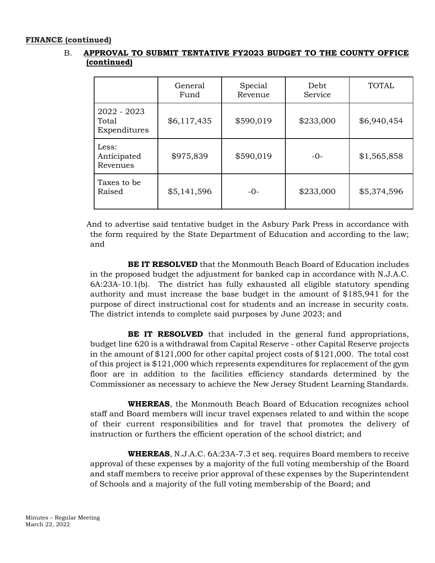### **FINANCE (continued)**

# B. **APPROVAL TO SUBMIT TENTATIVE FY2023 BUDGET TO THE COUNTY OFFICE (continued)**

|                                      | General<br>Fund | Special<br>Revenue | Debt<br>Service | <b>TOTAL</b> |
|--------------------------------------|-----------------|--------------------|-----------------|--------------|
| 2022 - 2023<br>Total<br>Expenditures | \$6,117,435     | \$590,019          | \$233,000       | \$6,940,454  |
| Less:<br>Anticipated<br>Revenues     | \$975,839       | \$590,019          | $-0-$           | \$1,565,858  |
| Taxes to be<br>Raised                | \$5,141,596     | $-0-$              | \$233,000       | \$5,374,596  |

 And to advertise said tentative budget in the Asbury Park Press in accordance with the form required by the State Department of Education and according to the law; and

**BE IT RESOLVED** that the Monmouth Beach Board of Education includes in the proposed budget the adjustment for banked cap in accordance with N.J.A.C. 6A:23A-10.1(b). The district has fully exhausted all eligible statutory spending authority and must increase the base budget in the amount of \$185,941 for the purpose of direct instructional cost for students and an increase in security costs. The district intends to complete said purposes by June 2023; and

**BE IT RESOLVED** that included in the general fund appropriations, budget line 620 is a withdrawal from Capital Reserve - other Capital Reserve projects in the amount of \$121,000 for other capital project costs of \$121,000. The total cost of this project is \$121,000 which represents expenditures for replacement of the gym floor are in addition to the facilities efficiency standards determined by the Commissioner as necessary to achieve the New Jersey Student Learning Standards.

**WHEREAS**, the Monmouth Beach Board of Education recognizes school staff and Board members will incur travel expenses related to and within the scope of their current responsibilities and for travel that promotes the delivery of instruction or furthers the efficient operation of the school district; and

**WHEREAS**, N.J.A.C. 6A:23A-7.3 et seq. requires Board members to receive approval of these expenses by a majority of the full voting membership of the Board and staff members to receive prior approval of these expenses by the Superintendent of Schools and a majority of the full voting membership of the Board; and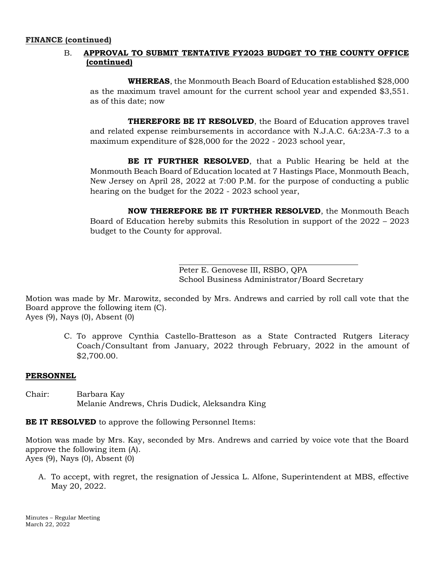### **FINANCE (continued)**

# B. **APPROVAL TO SUBMIT TENTATIVE FY2023 BUDGET TO THE COUNTY OFFICE (continued)**

**WHEREAS**, the Monmouth Beach Board of Education established \$28,000 as the maximum travel amount for the current school year and expended \$3,551. as of this date; now

**THEREFORE BE IT RESOLVED**, the Board of Education approves travel and related expense reimbursements in accordance with N.J.A.C. 6A:23A-7.3 to a maximum expenditure of \$28,000 for the 2022 - 2023 school year,

**BE IT FURTHER RESOLVED**, that a Public Hearing be held at the Monmouth Beach Board of Education located at 7 Hastings Place, Monmouth Beach, New Jersey on April 28, 2022 at 7:00 P.M. for the purpose of conducting a public hearing on the budget for the 2022 - 2023 school year,

 **NOW THEREFORE BE IT FURTHER RESOLVED**, the Monmouth Beach Board of Education hereby submits this Resolution in support of the 2022 – 2023 budget to the County for approval.

> Peter E. Genovese III, RSBO, QPA School Business Administrator/Board Secretary

Motion was made by Mr. Marowitz, seconded by Mrs. Andrews and carried by roll call vote that the Board approve the following item (C). Ayes (9), Nays (0), Absent (0)

C. To approve Cynthia Castello-Bratteson as a State Contracted Rutgers Literacy Coach/Consultant from January, 2022 through February, 2022 in the amount of \$2,700.00.

# **PERSONNEL**

Chair: Barbara Kay Melanie Andrews, Chris Dudick, Aleksandra King

**BE IT RESOLVED** to approve the following Personnel Items:

Motion was made by Mrs. Kay, seconded by Mrs. Andrews and carried by voice vote that the Board approve the following item (A). Ayes (9), Nays (0), Absent (0)

A. To accept, with regret, the resignation of Jessica L. Alfone, Superintendent at MBS, effective May 20, 2022.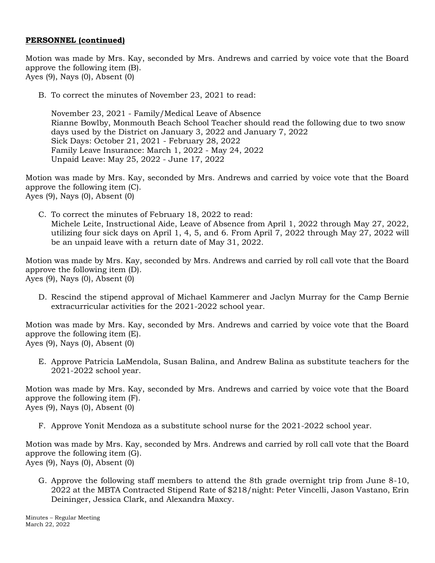### **PERSONNEL (continued)**

Motion was made by Mrs. Kay, seconded by Mrs. Andrews and carried by voice vote that the Board approve the following item (B). Ayes (9), Nays (0), Absent (0)

B. To correct the minutes of November 23, 2021 to read:

November 23, 2021 - Family/Medical Leave of Absence Rianne Bowlby, Monmouth Beach School Teacher should read the following due to two snow days used by the District on January 3, 2022 and January 7, 2022 Sick Days: October 21, 2021 - February 28, 2022 Family Leave Insurance: March 1, 2022 - May 24, 2022 Unpaid Leave: May 25, 2022 - June 17, 2022

Motion was made by Mrs. Kay, seconded by Mrs. Andrews and carried by voice vote that the Board approve the following item (C). Ayes (9), Nays (0), Absent (0)

C. To correct the minutes of February 18, 2022 to read: Michele Leite, Instructional Aide, Leave of Absence from April 1, 2022 through May 27, 2022, utilizing four sick days on April 1, 4, 5, and 6. From April 7, 2022 through May 27, 2022 will be an unpaid leave with a return date of May 31, 2022.

Motion was made by Mrs. Kay, seconded by Mrs. Andrews and carried by roll call vote that the Board approve the following item (D). Ayes (9), Nays (0), Absent (0)

D. Rescind the stipend approval of Michael Kammerer and Jaclyn Murray for the Camp Bernie extracurricular activities for the 2021-2022 school year.

Motion was made by Mrs. Kay, seconded by Mrs. Andrews and carried by voice vote that the Board approve the following item (E). Ayes (9), Nays (0), Absent (0)

E. Approve Patricia LaMendola, Susan Balina, and Andrew Balina as substitute teachers for the 2021-2022 school year.

Motion was made by Mrs. Kay, seconded by Mrs. Andrews and carried by voice vote that the Board approve the following item (F). Ayes (9), Nays (0), Absent (0)

F. Approve Yonit Mendoza as a substitute school nurse for the 2021-2022 school year.

Motion was made by Mrs. Kay, seconded by Mrs. Andrews and carried by roll call vote that the Board approve the following item (G). Ayes (9), Nays (0), Absent (0)

G. Approve the following staff members to attend the 8th grade overnight trip from June 8-10, 2022 at the MBTA Contracted Stipend Rate of \$218/night: Peter Vincelli, Jason Vastano, Erin Deininger, Jessica Clark, and Alexandra Maxcy.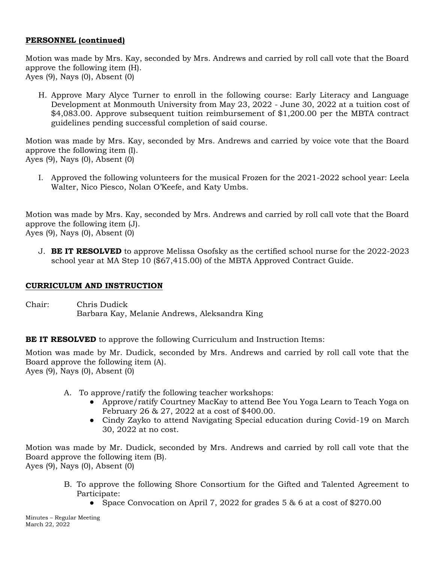## **PERSONNEL (continued)**

Motion was made by Mrs. Kay, seconded by Mrs. Andrews and carried by roll call vote that the Board approve the following item (H). Ayes (9), Nays (0), Absent (0)

H. Approve Mary Alyce Turner to enroll in the following course: Early Literacy and Language Development at Monmouth University from May 23, 2022 - June 30, 2022 at a tuition cost of \$4,083.00. Approve subsequent tuition reimbursement of \$1,200.00 per the MBTA contract guidelines pending successful completion of said course.

Motion was made by Mrs. Kay, seconded by Mrs. Andrews and carried by voice vote that the Board approve the following item (I). Ayes (9), Nays (0), Absent (0)

I. Approved the following volunteers for the musical Frozen for the 2021-2022 school year: Leela Walter, Nico Piesco, Nolan O'Keefe, and Katy Umbs.

Motion was made by Mrs. Kay, seconded by Mrs. Andrews and carried by roll call vote that the Board approve the following item (J). Ayes (9), Nays (0), Absent (0)

J. **BE IT RESOLVED** to approve Melissa Osofsky as the certified school nurse for the 2022-2023 school year at MA Step 10 (\$67,415.00) of the MBTA Approved Contract Guide.

## **CURRICULUM AND INSTRUCTION**

Chair: Chris Dudick Barbara Kay, Melanie Andrews, Aleksandra King

**BE IT RESOLVED** to approve the following Curriculum and Instruction Items:

Motion was made by Mr. Dudick, seconded by Mrs. Andrews and carried by roll call vote that the Board approve the following item (A). Ayes (9), Nays (0), Absent (0)

- A. To approve/ratify the following teacher workshops:
	- Approve/ratify Courtney MacKay to attend Bee You Yoga Learn to Teach Yoga on February 26 & 27, 2022 at a cost of \$400.00.
	- Cindy Zayko to attend Navigating Special education during Covid-19 on March 30, 2022 at no cost.

Motion was made by Mr. Dudick, seconded by Mrs. Andrews and carried by roll call vote that the Board approve the following item (B). Ayes (9), Nays (0), Absent (0)

- B. To approve the following Shore Consortium for the Gifted and Talented Agreement to Participate:
	- Space Convocation on April 7, 2022 for grades  $5 \& 6$  at a cost of \$270.00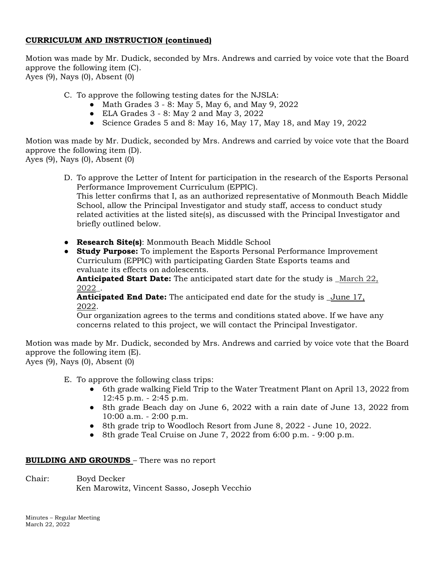# **CURRICULUM AND INSTRUCTION (continued)**

Motion was made by Mr. Dudick, seconded by Mrs. Andrews and carried by voice vote that the Board approve the following item (C). Ayes (9), Nays (0), Absent (0)

C. To approve the following testing dates for the NJSLA:

- Math Grades  $3 8$ : May 5, May 6, and May 9, 2022
- $\bullet$  ELA Grades 3 8: May 2 and May 3, 2022
- Science Grades 5 and 8: May 16, May 17, May 18, and May 19, 2022

Motion was made by Mr. Dudick, seconded by Mrs. Andrews and carried by voice vote that the Board approve the following item (D). Ayes (9), Nays (0), Absent (0)

D. To approve the Letter of Intent for participation in the research of the Esports Personal Performance Improvement Curriculum (EPPIC). This letter confirms that I, as an authorized representative of Monmouth Beach Middle School, allow the Principal Investigator and study staff, access to conduct study related activities at the listed site(s), as discussed with the Principal Investigator and briefly outlined below.

- **Research Site(s)**: Monmouth Beach Middle School
- **Study Purpose:** To implement the Esports Personal Performance Improvement Curriculum (EPPIC) with participating Garden State Esports teams and evaluate its effects on adolescents.

**Anticipated Start Date:** The anticipated start date for the study is \_March 22, 2022\_.

**Anticipated End Date:** The anticipated end date for the study is \_June 17, 2022.

Our organization agrees to the terms and conditions stated above. If we have any concerns related to this project, we will contact the Principal Investigator.

Motion was made by Mr. Dudick, seconded by Mrs. Andrews and carried by voice vote that the Board approve the following item (E). Ayes (9), Nays (0), Absent (0)

E. To approve the following class trips:

- 6th grade walking Field Trip to the Water Treatment Plant on April 13, 2022 from 12:45 p.m. - 2:45 p.m.
- 8th grade Beach day on June 6, 2022 with a rain date of June 13, 2022 from 10:00 a.m. - 2:00 p.m.
- 8th grade trip to Woodloch Resort from June 8, 2022 June 10, 2022.
- 8th grade Teal Cruise on June 7, 2022 from 6:00 p.m. 9:00 p.m.

# **BUILDING AND GROUNDS** – There was no report

Chair: Boyd Decker Ken Marowitz, Vincent Sasso, Joseph Vecchio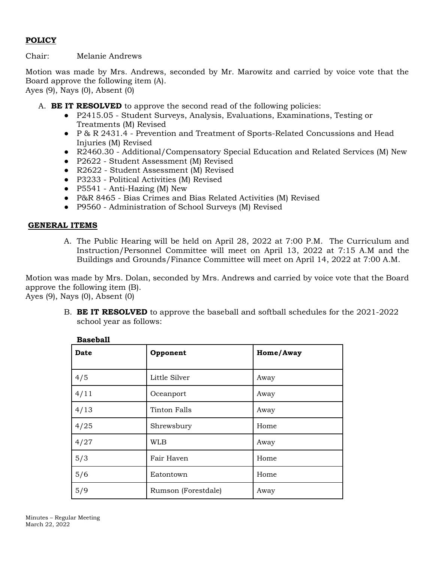# **POLICY**

Chair: Melanie Andrews

Motion was made by Mrs. Andrews, seconded by Mr. Marowitz and carried by voice vote that the Board approve the following item (A).

Ayes (9), Nays (0), Absent (0)

- A. **BE IT RESOLVED** to approve the second read of the following policies:
	- P2415.05 Student Surveys, Analysis, Evaluations, Examinations, Testing or Treatments (M) Revised
	- P & R 2431.4 Prevention and Treatment of Sports-Related Concussions and Head Injuries (M) Revised
	- R2460.30 Additional/Compensatory Special Education and Related Services (M) New
	- P2622 Student Assessment (M) Revised
	- R2622 Student Assessment (M) Revised
	- P3233 Political Activities (M) Revised
	- $\bullet$  P5541 Anti-Hazing (M) New
	- P&R 8465 Bias Crimes and Bias Related Activities (M) Revised
	- P9560 Administration of School Surveys (M) Revised

## **GENERAL ITEMS**

A. The Public Hearing will be held on April 28, 2022 at 7:00 P.M. The Curriculum and Instruction/Personnel Committee will meet on April 13, 2022 at 7:15 A.M and the Buildings and Grounds/Finance Committee will meet on April 14, 2022 at 7:00 A.M.

Motion was made by Mrs. Dolan, seconded by Mrs. Andrews and carried by voice vote that the Board approve the following item (B).

Ayes (9), Nays (0), Absent (0)

B. **BE IT RESOLVED** to approve the baseball and softball schedules for the 2021-2022 school year as follows:

| <u> - asceran</u> |                     |           |  |  |
|-------------------|---------------------|-----------|--|--|
| Date              | Opponent            | Home/Away |  |  |
| 4/5               | Little Silver       | Away      |  |  |
| 4/11              | Oceanport           | Away      |  |  |
| 4/13              | Tinton Falls        | Away      |  |  |
| 4/25              | Shrewsbury          | Home      |  |  |
| 4/27              | WLB                 | Away      |  |  |
| 5/3               | Fair Haven          | Home      |  |  |
| 5/6               | Eatontown           | Home      |  |  |
| 5/9               | Rumson (Forestdale) | Away      |  |  |

**Baseball**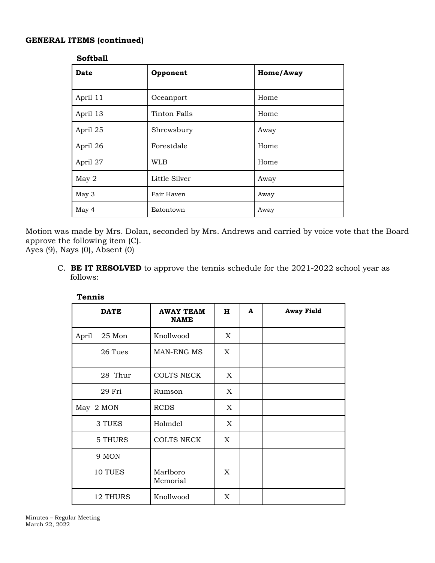## **GENERAL ITEMS (continued)**

| Date     | Opponent      | Home/Away |
|----------|---------------|-----------|
| April 11 | Oceanport     | Home      |
| April 13 | Tinton Falls  | Home      |
| April 25 | Shrewsbury    | Away      |
| April 26 | Forestdale    | Home      |
| April 27 | WLB           | Home      |
| May 2    | Little Silver | Away      |
| May 3    | Fair Haven    | Away      |
| May 4    | Eatontown     | Away      |

### **Softball**

Motion was made by Mrs. Dolan, seconded by Mrs. Andrews and carried by voice vote that the Board approve the following item (C).

Ayes  $(9)$ , Nays  $(0)$ , Absent  $(0)$ 

C. **BE IT RESOLVED** to approve the tennis schedule for the 2021-2022 school year as follows:

| <b>DATE</b>     | <b>AWAY TEAM</b><br><b>NAME</b> | $\bf H$ | A | <b>Away Field</b> |  |
|-----------------|---------------------------------|---------|---|-------------------|--|
| April<br>25 Mon | Knollwood                       | X       |   |                   |  |
| 26 Tues         | MAN-ENG MS                      | X       |   |                   |  |
| 28 Thur         | <b>COLTS NECK</b>               | X       |   |                   |  |
| 29 Fri          | Rumson                          | X       |   |                   |  |
| May 2 MON       | <b>RCDS</b>                     | X       |   |                   |  |
| 3 TUES          | Holmdel                         | X       |   |                   |  |
| 5 THURS         | <b>COLTS NECK</b>               | X       |   |                   |  |
| 9 MON           |                                 |         |   |                   |  |
| 10 TUES         | Marlboro<br>Memorial            | X       |   |                   |  |
| 12 THURS        | Knollwood                       | X       |   |                   |  |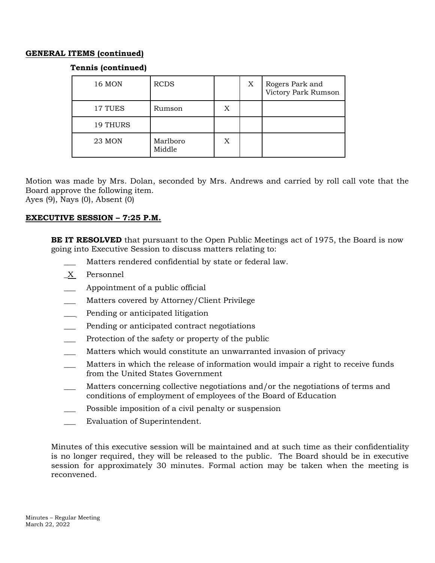### **GENERAL ITEMS (continued)**

## **Tennis (continued)**

| 16 MON   | <b>RCDS</b>        |   | X | Rogers Park and<br>Victory Park Rumson |
|----------|--------------------|---|---|----------------------------------------|
| 17 TUES  | Rumson             | X |   |                                        |
| 19 THURS |                    |   |   |                                        |
| 23 MON   | Marlboro<br>Middle | X |   |                                        |

Motion was made by Mrs. Dolan, seconded by Mrs. Andrews and carried by roll call vote that the Board approve the following item.

Ayes (9), Nays (0), Absent (0)

## **EXECUTIVE SESSION – 7:25 P.M.**

**BE IT RESOLVED** that pursuant to the Open Public Meetings act of 1975, the Board is now going into Executive Session to discuss matters relating to:

- Matters rendered confidential by state or federal law.
- \_X Personnel
- \_\_\_ Appointment of a public official
- Matters covered by Attorney/Client Privilege
- Pending or anticipated litigation
- \_\_\_ Pending or anticipated contract negotiations
- Protection of the safety or property of the public
- Matters which would constitute an unwarranted invasion of privacy
- \_\_\_ Matters in which the release of information would impair a right to receive funds from the United States Government
- Matters concerning collective negotiations and/or the negotiations of terms and conditions of employment of employees of the Board of Education
- \_\_\_ Possible imposition of a civil penalty or suspension
- Evaluation of Superintendent.

Minutes of this executive session will be maintained and at such time as their confidentiality is no longer required, they will be released to the public. The Board should be in executive session for approximately 30 minutes. Formal action may be taken when the meeting is reconvened.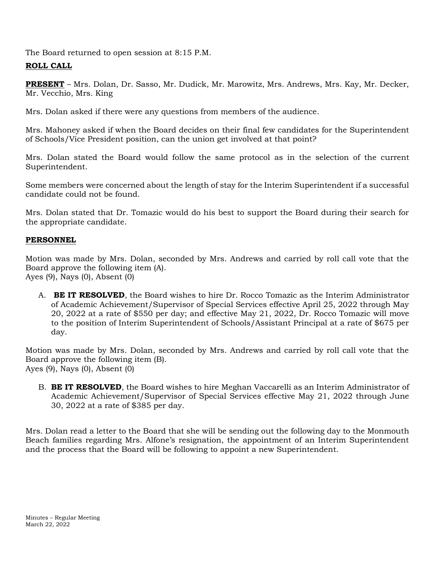The Board returned to open session at 8:15 P.M.

# **ROLL CALL**

**PRESENT** – Mrs. Dolan, Dr. Sasso, Mr. Dudick, Mr. Marowitz, Mrs. Andrews, Mrs. Kay, Mr. Decker, Mr. Vecchio, Mrs. King

Mrs. Dolan asked if there were any questions from members of the audience.

Mrs. Mahoney asked if when the Board decides on their final few candidates for the Superintendent of Schools/Vice President position, can the union get involved at that point?

Mrs. Dolan stated the Board would follow the same protocol as in the selection of the current Superintendent.

Some members were concerned about the length of stay for the Interim Superintendent if a successful candidate could not be found.

Mrs. Dolan stated that Dr. Tomazic would do his best to support the Board during their search for the appropriate candidate.

# **PERSONNEL**

Motion was made by Mrs. Dolan, seconded by Mrs. Andrews and carried by roll call vote that the Board approve the following item (A). Ayes (9), Nays (0), Absent (0)

A. **BE IT RESOLVED**, the Board wishes to hire Dr. Rocco Tomazic as the Interim Administrator of Academic Achievement/Supervisor of Special Services effective April 25, 2022 through May 20, 2022 at a rate of \$550 per day; and effective May 21, 2022, Dr. Rocco Tomazic will move to the position of Interim Superintendent of Schools/Assistant Principal at a rate of \$675 per day.

Motion was made by Mrs. Dolan, seconded by Mrs. Andrews and carried by roll call vote that the Board approve the following item (B). Ayes (9), Nays (0), Absent (0)

B. **BE IT RESOLVED**, the Board wishes to hire Meghan Vaccarelli as an Interim Administrator of Academic Achievement/Supervisor of Special Services effective May 21, 2022 through June 30, 2022 at a rate of \$385 per day.

Mrs. Dolan read a letter to the Board that she will be sending out the following day to the Monmouth Beach families regarding Mrs. Alfone's resignation, the appointment of an Interim Superintendent and the process that the Board will be following to appoint a new Superintendent.